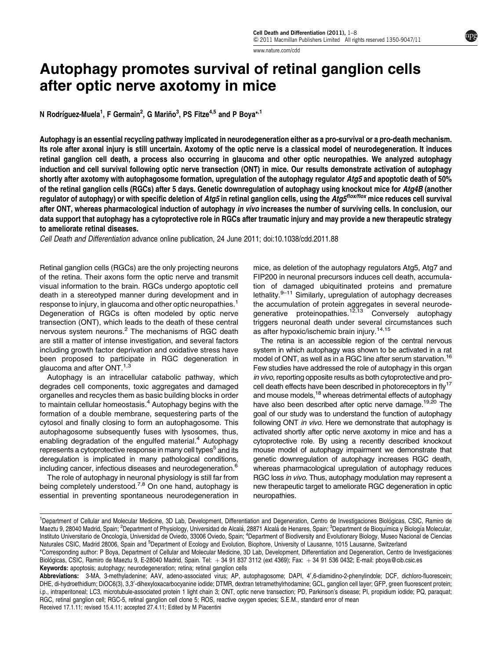[www.nature.com/cdd](http://www.nature.com/cdd)

# Autophagy promotes survival of retinal ganglion cells after optic nerve axotomy in mice

N Rodríguez-Muela $^1$ , F Germain $^2$ , G Mariño $^3$ , PS Fitze $^{4,5}$  and P Boya $^{\star,1}$ 

Autophagy is an essential recycling pathway implicated in neurodegeneration either as a pro-survival or a pro-death mechanism. Its role after axonal injury is still uncertain. Axotomy of the optic nerve is a classical model of neurodegeneration. It induces retinal ganglion cell death, a process also occurring in glaucoma and other optic neuropathies. We analyzed autophagy induction and cell survival following optic nerve transection (ONT) in mice. Our results demonstrate activation of autophagy shortly after axotomy with autophagosome formation, upregulation of the autophagy regulator Atg5 and apoptotic death of 50% of the retinal ganglion cells (RGCs) after 5 days. Genetic downregulation of autophagy using knockout mice for Atg4B (another regulator of autophagy) or with specific deletion of Atg5 in retinal ganglion cells, using the Atg5<sup>flox/flox</sup> mice reduces cell survival after ONT, whereas pharmacological induction of autophagy in vivo increases the number of surviving cells. In conclusion, our data support that autophagy has a cytoprotective role in RGCs after traumatic injury and may provide a new therapeutic strategy to ameliorate retinal diseases.

Cell Death and Differentiation advance online publication, 24 June 2011; doi[:10.1038/cdd.2011.88](http://dx.doi.org/10.1038/cdd.2011.88)

Retinal ganglion cells (RGCs) are the only projecting neurons of the retina. Their axons form the optic nerve and transmit visual information to the brain. RGCs undergo apoptotic cell death in a stereotyped manner during development and in response to injury, in glaucoma and other optic neuropathies.<sup>1</sup> Degeneration of RGCs is often modeled by optic nerve transection (ONT), which leads to the death of these central nervous system neurons.[2](#page-7-0) The mechanisms of RGC death are still a matter of intense investigation, and several factors including growth factor deprivation and oxidative stress have been proposed to participate in RGC degeneration in glaucoma and after ONT.<sup>[1,3](#page-7-0)</sup>

Autophagy is an intracellular catabolic pathway, which degrades cell components, toxic aggregates and damaged organelles and recycles them as basic building blocks in order to maintain cellular homeostasis.<sup>[4](#page-7-0)</sup> Autophagy begins with the formation of a double membrane, sequestering parts of the cytosol and finally closing to form an autophagosome. This autophagosome subsequently fuses with lysosomes, thus, enabling degradation of the engulfed material. $4$  Autophagy represents a cytoprotective response in many cell types<sup>[5](#page-7-0)</sup> and its deregulation is implicated in many pathological conditions, including cancer, infectious diseases and neurodegeneration.<sup>[6](#page-7-0)</sup>

The role of autophagy in neuronal physiology is still far from being completely understood.<sup>[7,8](#page-7-0)</sup> On one hand, autophagy is essential in preventing spontaneous neurodegeneration in mice, as deletion of the autophagy regulators Atg5, Atg7 and FIP200 in neuronal precursors induces cell death, accumulation of damaged ubiquitinated proteins and premature lethality.<sup>9-11</sup> Similarly, upregulation of autophagy decreases the accumulation of protein aggregates in several neurode-generative proteinopathies.<sup>[12,13](#page-7-0)</sup> Conversely autophagy triggers neuronal death under several circumstances such as after hypoxic/ischemic brain injury.<sup>[14,15](#page-7-0)</sup>

The retina is an accessible region of the central nervous system in which autophagy was shown to be activated in a rat model of ONT, as well as in a RGC line after serum starvation.<sup>[16](#page-7-0)</sup> Few studies have addressed the role of autophagy in this organ in vivo, reporting opposite results as both cytoprotective and pro-cell death effects have been described in photoreceptors in fly<sup>[17](#page-7-0)</sup> and mouse models,<sup>18</sup> whereas detrimental effects of autophagy have also been described after optic nerve damage.<sup>[19,20](#page-7-0)</sup> The goal of our study was to understand the function of autophagy following ONT in vivo. Here we demonstrate that autophagy is activated shortly after optic nerve axotomy in mice and has a cytoprotective role. By using a recently described knockout mouse model of autophagy impairment we demonstrate that genetic downregulation of autophagy increases RGC death, whereas pharmacological upregulation of autophagy reduces RGC loss in vivo. Thus, autophagy modulation may represent a new therapeutic target to ameliorate RGC degeneration in optic neuropathies.

<sup>&</sup>lt;sup>1</sup>Department of Cellular and Molecular Medicine, 3D Lab, Development, Differentiation and Degeneration, Centro de Investigaciones Biológicas, CSIC, Ramiro de Maeztu 9, 28040 Madrid, Spain; <sup>2</sup>Department of Physiology, Universidad de Alcalá, 28871 Alcalá de Henares, Spain; <sup>3</sup>Department de Bioquímica y Biología Molecular, Instituto Universitario de Oncología, Universidad de Oviedo, 33006 Oviedo, Spain; <sup>4</sup>Department of Biodiversity and Evolutionary Biology, Museo Nacional de Ciencias Naturales CSIC, Madrid 28006, Spain and <sup>5</sup>Department of Ecology and Evolution, Biophore, University of Lausanne, 1015 Lausanne, Switzerland \*Corresponding author: P Boya, Department of Cellular and Molecular Medicine, 3D Lab, Development, Differentiation and Degeneration, Centro de Investigaciones

Biológicas, CSIC, Ramiro de Maeztu 9, E-28040 Madrid, Spain. Tel: +34 91 837 3112 (ext 4369); Fax: +34 91 536 0432; E-mail: [pboya@cib.csic.es](mailto:pboya@cib.csic.es) Keywords: apoptosis; autophagy; neurodegeneration; retina; retinal ganglion cells

Received 17.1.11; revised 15.4.11; accepted 27.4.11; Edited by M Piacentini Abbreviations: 3-MA, 3-methyladenine; AAV, adeno-associated virus; AP, autophagosome; DAPI, 4',6-diamidino-2-phenylindole; DCF, dichloro-fluorescein; DHE, di-hydroethidium; DiOC6(3), 3,3'-dihexyloxacarbocyanine iodide; DTMR, dextran tetramethylrhodamine; GCL, ganglion cell layer; GFP, green fluorescent protein; i.p., intraperitoneal; LC3, microtubule-associated protein 1 light chain 3; ONT, optic nerve transection; PD, Parkinson's disease; PI, propidium iodide; PQ, paraquat; RGC, retinal ganglion cell; RGC-5, retinal ganglion cell clone 5; ROS, reactive oxygen species; S.E.M., standard error of mean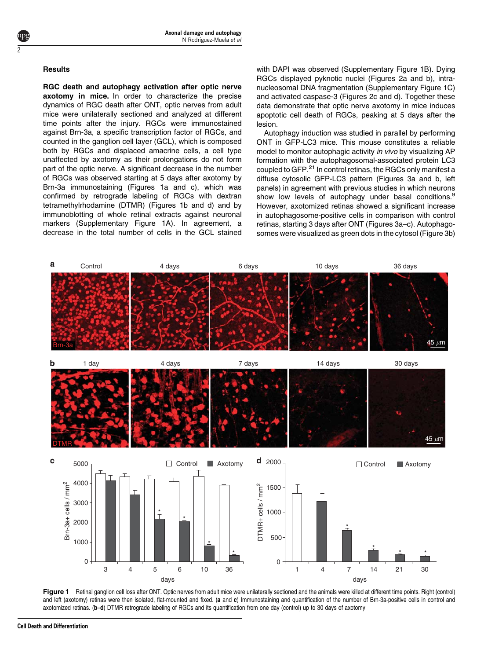## **Results**

<span id="page-1-0"></span>2

RGC death and autophagy activation after optic nerve axotomy in mice. In order to characterize the precise dynamics of RGC death after ONT, optic nerves from adult mice were unilaterally sectioned and analyzed at different time points after the injury. RGCs were immunostained against Brn-3a, a specific transcription factor of RGCs, and counted in the ganglion cell layer (GCL), which is composed both by RGCs and displaced amacrine cells, a cell type unaffected by axotomy as their prolongations do not form part of the optic nerve. A significant decrease in the number of RGCs was observed starting at 5 days after axotomy by Brn-3a immunostaining (Figures 1a and c), which was confirmed by retrograde labeling of RGCs with dextran tetramethylrhodamine (DTMR) (Figures 1b and d) and by immunoblotting of whole retinal extracts against neuronal markers (Supplementary Figure 1A). In agreement, a decrease in the total number of cells in the GCL stained

with DAPI was observed (Supplementary Figure 1B). Dying [RGCs displayed pyknotic nuclei \(Figures 2a and b\), intra](#page-2-0)[nucleosomal DNA fragmentation \(Supplementary Figure 1C\)](#page-2-0) [and activated caspase-3 \(Figures 2c and d\). Together these](#page-2-0) [data demonstrate that optic nerve axotomy in mice induces](#page-2-0) [apoptotic cell death of RGCs, peaking at 5 days after the](#page-2-0) [lesion.](#page-2-0)

Autophagy induction was studied in parallel by performing ONT in GFP-LC3 mice. This mouse constitutes a reliable model to monitor autophagic activity in vivo by visualizing AP formation with the autophagosomal-associated protein LC3 coupled to GFP.<sup>[21](#page-7-0)</sup> In control retinas, the RGCs only manifest a diffuse cytosolic GFP-LC3 pattern [\(Figures 3a and b, left](#page-3-0) [panels\) in agreement with previous studies in which neurons](#page-3-0) [show](#page-7-0) [low](#page-7-0) [levels](#page-7-0) [of](#page-7-0) [autophagy](#page-7-0) [under](#page-7-0) [basal](#page-7-0) conditions.<sup>9</sup> However, axotomized retinas showed a significant increase in autophagosome-positive cells in comparison with control retinas, starting 3 days after ONT [\(Figures 3a–c\). Autophago](#page-3-0)[somes were visualized as green dots in the cytosol \(Figure 3b\)](#page-3-0)



Figure 1 Retinal ganglion cell loss after ONT. Optic nerves from adult mice were unilaterally sectioned and the animals were killed at different time points. Right (control) and left (axotomy) retinas were then isolated, flat-mounted and fixed. (a and c) Immunostaining and quantification of the number of Brn-3a-positive cells in control and axotomized retinas. (b–d) DTMR retrograde labeling of RGCs and its quantification from one day (control) up to 30 days of axotomy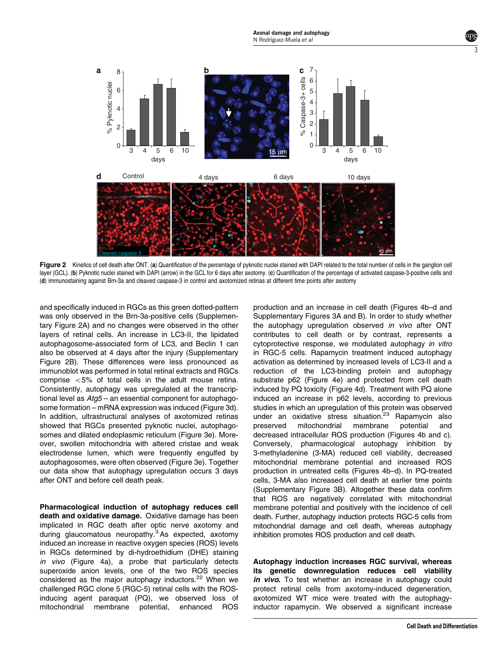<span id="page-2-0"></span>

Figure 2 Kinetics of cell death after ONT. (a) Quantification of the percentage of pyknotic nuclei stained with DAPI related to the total number of cells in the ganglion cell layer (GCL). (b) Pyknotic nuclei stained with DAPI (arrow) in the GCL for 6 days after axotomy. (c) Quantification of the percentage of activated caspase-3-positive cells and (d) immunostaining against Brn-3a and cleaved caspase-3 in control and axotomized retinas at different time points after axotomy

[and specifically induced in RGCs as this green dotted-pattern](#page-3-0) [was only observed in the Brn-3a-positive cells \(Supplemen](#page-3-0)[tary Figure 2A\) and no changes were observed in the other](#page-3-0) [layers of retinal cells. An increase in LC3-II, the lipidated](#page-3-0) [autophagosome-associated form of LC3, and Beclin 1 can](#page-3-0) [also be observed at 4 days after the injury \(Supplementary](#page-3-0) [Figure 2B\). These differences were less pronounced as](#page-3-0) [immunoblot was performed in total retinal extracts and RGCs](#page-3-0) comprise  $<$  [5% of total cells in the adult mouse retina.](#page-3-0) [Consistently, autophagy was upregulated at the transcrip](#page-3-0)tional level as  $Atq5 -$  an essential component for autophago[some formation – mRNA expression was induced \(Figure 3d\).](#page-3-0) [In addition, ultrastructural analyses of axotomized retinas](#page-3-0) [showed that RGCs presented pyknotic nuclei, autophago](#page-3-0)[somes and dilated endoplasmic reticulum \(Figure 3e\). More](#page-3-0)[over, swollen mitochondria with altered cristae and weak](#page-3-0) [electrodense lumen, which were frequently engulfed by](#page-3-0) [autophagosomes, were often observed \(Figure 3e\). Together](#page-3-0) [our data show that autophagy upregulation occurs 3 days](#page-3-0) [after ONT and before cell death peak.](#page-3-0)

Pharmacological induction of autophagy reduces cell death and oxidative damage. Oxidative damage has been implicated in RGC death after optic nerve axotomy and during glaucomatous neuropathy.<sup>3</sup> As expected, axotomy induced an increase in reactive oxygen species (ROS) levels in RGCs determined by di-hydroethidium (DHE) staining in vivo [\(Figure 4a\), a probe that particularly detects](#page-4-0) [superoxide anion levels, one of the two ROS species](#page-4-0) [considered](#page-7-0) [as](#page-7-0) [the](#page-7-0) [major](#page-7-0) [autophagy](#page-7-0) inductors.<sup>22</sup> When we challenged RGC clone 5 (RGC-5) retinal cells with the ROSinducing agent paraquat (PQ), we observed loss of mitochondrial membrane potential, enhanced ROS

production and an increase in cell death [\(Figures 4b–d and](#page-4-0) [Supplementary Figures 3A and B\). In order to study whether](#page-4-0) [the autophagy upregulation observed](#page-4-0) in vivo after ONT [contributes to cell death or by contrast, represents a](#page-4-0) [cytoprotective response, we modulated autophagy](#page-4-0) in vitro [in RGC-5 cells. Rapamycin treatment induced autophagy](#page-4-0) [activation as determined by increased levels of LC3-II and a](#page-4-0) [reduction of the LC3-binding protein and autophagy](#page-4-0) [substrate p62 \(Figure 4e\) and protected from cell death](#page-4-0) [induced by PQ toxicity \(Figure 4d\). Treatment with PQ alone](#page-4-0) [induced an increase in p62 levels, according to previous](#page-4-0) [studies in which an upregulation of this protein was observed](#page-4-0) [under](#page-7-0) [an](#page-7-0) [oxidative](#page-7-0) [stress](#page-7-0) [situation.](#page-7-0)<sup>23</sup> Rapamycin also<br>preserved mitochondrial membrane potential and preserved mitochondrial membrane potential and decreased intracellular ROS production [\(Figures 4b and c\).](#page-4-0) [Conversely, pharmacological autophagy inhibition by](#page-4-0) [3-methyladenine \(3-MA\) reduced cell viability, decreased](#page-4-0) [mitochondrial membrane potential and increased ROS](#page-4-0) [production in untreated cells \(Figures 4b–d\). In PQ-treated](#page-4-0) [cells, 3-MA also increased cell death at earlier time points](#page-4-0) [\(Supplementary Figure 3B\). Altogether these data confirm](#page-4-0) [that ROS are negatively correlated with mitochondrial](#page-4-0) [membrane potential and positively with the incidence of cell](#page-4-0) [death. Further, autophagy induction protects RGC-5 cells from](#page-4-0) [mitochondrial damage and cell death, whereas autophagy](#page-4-0) [inhibition promotes ROS production and cell death.](#page-4-0)

Autophagy induction increases RGC survival, whereas its genetic downregulation reduces cell viability in vivo. To test whether an increase in autophagy could protect retinal cells from axotomy-induced degeneration, axotomized WT mice were treated with the autophagyinductor rapamycin. We observed a significant increase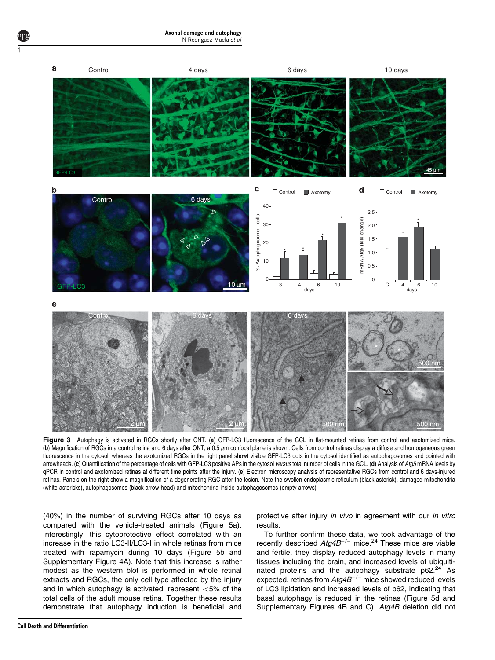<span id="page-3-0"></span>

Figure 3 Autophagy is activated in RGCs shortly after ONT. (a) GFP-LC3 fluorescence of the GCL in flat-mounted retinas from control and axotomized mice. (b) Magnification of RGCs in a control retina and 6 days after ONT, a 0.5  $\mu$ m confocal plane is shown. Cells from control retinas display a diffuse and homogeneous green fluorescence in the cytosol, whereas the axotomized RGCs in the right panel showt visible GFP-LC3 dots in the cytosol identified as autophagosomes and pointed with arrowheads. (c) Quantification of the percentage of cells with GFP-LC3 positive APs in the cytosol versus total number of cells in the GCL. (d) Analysis of Atg5 mRNA levels by qPCR in control and axotomized retinas at different time points after the injury. (e) Electron microscopy analysis of representative RGCs from control and 6 days-injured retinas. Panels on the right show a magnification of a degenerating RGC after the lesion. Note the swollen endoplasmic reticulum (black asterisk), damaged mitochondria (white asterisks), autophagosomes (black arrow head) and mitochondria inside autophagosomes (empty arrows)

(40%) in the number of surviving RGCs after 10 days as compared with the vehicle-treated animals ([Figure 5a\).](#page-5-0) [Interestingly, this cytoprotective effect correlated with an](#page-5-0) [increase in the ratio LC3-II/LC3-I in whole retinas from mice](#page-5-0) [treated with rapamycin during 10 days \(Figure 5b and](#page-5-0) [Supplementary Figure 4A\). Note that this increase is rather](#page-5-0) [modest as the western blot is performed in whole retinal](#page-5-0) [extracts and RGCs, the only cell type affected by the injury](#page-5-0) [and in which autophagy is activated, represent](#page-5-0)  $<$  5% of the [total cells of the adult mouse retina. Together these results](#page-5-0) [demonstrate that autophagy induction is beneficial and](#page-5-0)

protective after injury in vivo [in agreement with our](#page-5-0) in vitro [results.](#page-5-0)

To further confirm these data, we took advantage of the recently described  $Atg4B^{-/-}$  mice.<sup>24</sup> These mice are viable and fertile, they display reduced autophagy levels in many tissues including the brain, and increased levels of ubiquitinated proteins and the autophagy substrate  $p62.<sup>24</sup>$  $p62.<sup>24</sup>$  $p62.<sup>24</sup>$  As expected, retinas from  $Atg4B^{-/-}$  mice showed reduced levels of LC3 lipidation and increased levels of p62, indicating that basal autophagy is reduced in the retinas [\(Figure 5d and](#page-5-0) [Supplementary Figures 4B and C\).](#page-5-0) Atg4B deletion did not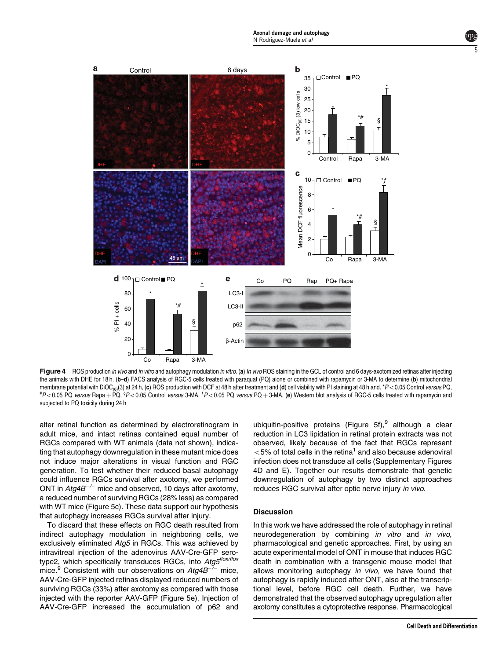<span id="page-4-0"></span>

Figure 4 ROS production in vivo and in vitro and autophagy modulation in vitro. (a) In vivo ROS staining in the GCL of control and 6 days-axotomized retinas after injecting the animals with DHE for 18 h. (b-d) FACS analysis of RGC-5 cells treated with paraquat (PQ) alone or combined with rapamycin or 3-MA to determine (b) mitochondrial membrane potential with DiOC<sub>(6)</sub>(3) at 24 h, (c) ROS production with DCF at 48 h after treatment and (d) cell viability with PI staining at 48 h and. \*P<0.05 Control versus PQ,  $P$  < 0.05 PQ versus Rapa + PQ,  ${}^8P$  < 0.05 Control versus 3-MA,  ${}^1P$  < 0.05 PQ versus PQ + 3-MA. (e) Western blot analysis of RGC-5 cells treated with rapamycin and subjected to PQ toxicity during 24 h

[alter retinal function as determined by electroretinogram in](#page-5-0) [adult mice, and intact retinas contained equal number of](#page-5-0) [RGCs compared with WT animals \(data not shown\), indica](#page-5-0)[ting that autophagy downregulation in these mutant mice does](#page-5-0) [not induce major alterations in visual function and RGC](#page-5-0) [generation. To test whether their reduced basal autophagy](#page-5-0) [could influence RGCs survival after axotomy, we performed](#page-5-0) [ONT](#page-5-0) [in](#page-5-0)  $Atg4B^{-/-}$  $Atg4B^{-/-}$  $Atg4B^{-/-}$  [mice and observed, 10 days after axotomy,](#page-5-0) [a reduced number of surviving RGCs \(28% less\) as compared](#page-5-0) [with WT mice \(Figure 5c\). These data support our hypothesis](#page-5-0) [that autophagy increases RGCs survival after injury.](#page-5-0)

To discard that these effects on RGC death resulted from indirect autophagy modulation in neighboring cells, we exclusively eliminated Atg5 in RGCs. This was achieved by intravitreal injection of the adenovirus AAV-Cre-GFP serotype2, which specifically transduces RGCs, into Atg5flox/flox mice.<sup>9</sup> Consistent with our observations on  $Atg$ <sup> $-$ </sup><sup>-</sup> mice, AAV-Cre-GFP injected retinas displayed reduced numbers of surviving RGCs (33%) after axotomy as compared with those injected with the reporter AAV-GFP [\(Figure 5e\). Injection of](#page-5-0) [AAV-Cre-GFP increased the accumulation of p62 and](#page-5-0) [ubiquitin-positive](#page-7-0) [proteins](#page-7-0) [\(Figure](#page-7-0) [5f\),](#page-7-0) although a clear reduction in LC3 lipidation in retinal protein extracts was not observed, likely because of the fact that RGCs represent  $<$  5% of total cells in the retina<sup>[1](#page-7-0)</sup> and also because adenoviral infection does not transduce all cells (Supplementary Figures 4D and E). Together our results demonstrate that genetic downregulation of autophagy by two distinct approaches reduces RGC survival after optic nerve injury in vivo.

### **Discussion**

In this work we have addressed the role of autophagy in retinal neurodegeneration by combining in vitro and in vivo, pharmacological and genetic approaches. First, by using an acute experimental model of ONT in mouse that induces RGC death in combination with a transgenic mouse model that allows monitoring autophagy in vivo, we have found that autophagy is rapidly induced after ONT, also at the transcriptional level, before RGC cell death. Further, we have demonstrated that the observed autophagy upregulation after axotomy constitutes a cytoprotective response. Pharmacological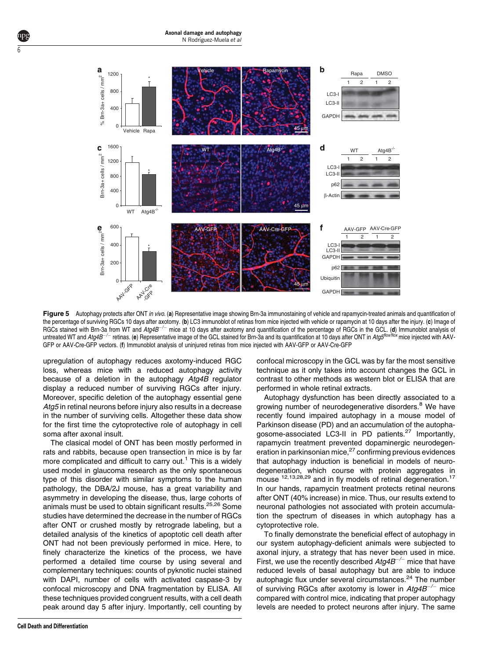<span id="page-5-0"></span>

Figure 5 Autophagy protects after ONT in vivo. (a) Representative image showing Brn-3a immunostaining of vehicle and rapamycin-treated animals and quantification of the percentage of surviving RGCs 10 days after axotomy. (b) LC3 immunoblot of retinas from mice injected with vehicle or rapamycin at 10 days after the injury. (c) Image of RGCs stained with Brn-3a from WT and Atg4B<sup>-/-</sup> mice at 10 days after axotomy and quantification of the percentage of RGCs in the GCL. (d) Immunoblot analysis of untreated WT and Atg4B<sup>-/-</sup> retinas. (e) Representative image of the GCL stained for Brn-3a and its quantification at 10 days after ONT in Atg5<sup>flox/flox</sup> mice injected with AAV-GFP or AAV-Cre-GFP vectors. (f) Immunoblot analysis of uninjured retinas from mice injected with AAV-GFP or AAV-Cre-GFP

upregulation of autophagy reduces axotomy-induced RGC loss, whereas mice with a reduced autophagy activity because of a deletion in the autophagy Atg4B regulator display a reduced number of surviving RGCs after injury. Moreover, specific deletion of the autophagy essential gene Atg5 in retinal neurons before injury also results in a decrease in the number of surviving cells. Altogether these data show for the first time the cytoprotective role of autophagy in cell soma after axonal insult.

The clasical model of ONT has been mostly performed in rats and rabbits, because open transection in mice is by far more complicated and difficult to carry out. $1$  This is a widely used model in glaucoma research as the only spontaneous type of this disorder with similar symptoms to the human pathology, the DBA/2J mouse, has a great variability and asymmetry in developing the disease, thus, large cohorts of animals must be used to obtain significant results.<sup>[25,26](#page-7-0)</sup> Some studies have determined the decrease in the number of RGCs after ONT or crushed mostly by retrograde labeling, but a detailed analysis of the kinetics of apoptotic cell death after ONT had not been previously performed in mice. Here, to finely characterize the kinetics of the process, we have performed a detailed time course by using several and complementary techniques: counts of pyknotic nuclei stained with DAPI, number of cells with activated caspase-3 by confocal microscopy and DNA fragmentation by ELISA. All these techniques provided congruent results, with a cell death peak around day 5 after injury. Importantly, cell counting by

technique as it only takes into account changes the GCL in contrast to other methods as western blot or ELISA that are performed in whole retinal extracts. Autophagy dysfunction has been directly associated to a

confocal microscopy in the GCL was by far the most sensitive

growing number of neurodegenerative disorders.<sup>[8](#page-7-0)</sup> We have recently found impaired autophagy in a mouse model of Parkinson disease (PD) and an accumulation of the autopha-gosome-associated LC3-II in PD patients.<sup>[27](#page-7-0)</sup> Importantly, rapamycin treatment prevented dopaminergic neurodegen-eration in parkinsonian mice,<sup>[27](#page-7-0)</sup> confirming previous evidences that autophagy induction is beneficial in models of neurodegeneration, which course with protein aggregates in mouse <sup>[12,13,28,29](#page-7-0)</sup> and in fly models of retinal degeneration.<sup>[17](#page-7-0)</sup> In our hands, rapamycin treatment protects retinal neurons after ONT (40% increase) in mice. Thus, our results extend to neuronal pathologies not associated with protein accumulation the spectrum of diseases in which autophagy has a cytoprotective role.

To finally demonstrate the beneficial effect of autophagy in our system autophagy-deficient animals were subjected to axonal injury, a strategy that has never been used in mice. First, we use the recently described  $Atg$ 4B<sup>-/-</sup> mice that have reduced levels of basal autophagy but are able to induce autophagic flux under several circumstances.<sup>[24](#page-7-0)</sup> The number of surviving RGCs after axotomy is lower in  $Atg4B^{-/-}$  mice compared with control mice, indicating that proper autophagy levels are needed to protect neurons after injury. The same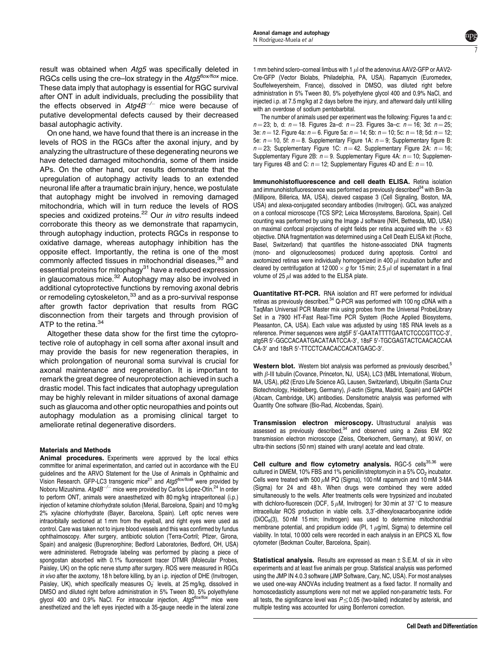7

result was obtained when Atg5 was specifically deleted in RGCs cells using the cre–lox strategy in the  $Atg5^{flox/flox}$  mice. These data imply that autophagy is essential for RGC survival after ONT in adult individuals, precluding the possibility that the effects observed in  $Atg4B^{-/-}$  mice were because of putative developmental defects caused by their decreased basal autophagic activity.

On one hand, we have found that there is an increase in the levels of ROS in the RGCs after the axonal injury, and by analyzing the ultrastructure of these degenerating neurons we have detected damaged mitochondria, some of them inside APs. On the other hand, our results demonstrate that the upregulation of autophagy activity leads to an extended neuronal life after a traumatic brain injury, hence, we postulate that autophagy might be involved in removing damaged mitochondria, which will in turn reduce the levels of ROS species and oxidized proteins.<sup>22</sup> Our *in vitro* results indeed corroborate this theory as we demonstrate that rapamycin, through autophagy induction, protects RGCs in response to oxidative damage, whereas autophagy inhibition has the opposite effect. Importantly, the retina is one of the most commonly affected tissues in mitochondrial diseases,<sup>[30](#page-7-0)</sup> and essential proteins for mitophagy<sup>31</sup> have a reduced expression in glaucomatous mice. $32$  Autophagy may also be involved in additional cytoprotective functions by removing axonal debris or remodeling cytoskeleton,<sup>33</sup> and as a pro-survival response after growth factor deprivation that results from RGC disconnection from their targets and through provision of ATP to the retina.<sup>[34](#page-7-0)</sup>

Altogether these data show for the first time the cytoprotective role of autophagy in cell soma after axonal insult and may provide the basis for new regeneration therapies, in which prolongation of neuronal soma survival is crucial for axonal maintenance and regeneration. It is important to remark the great degree of neuroprotection achieved in such a drastic model. This fact indicates that autophagy upregulation may be highly relevant in milder situations of axonal damage such as glaucoma and other optic neuropathies and points out autophagy modulation as a promising clinical target to ameliorate retinal degenerative disorders.

## Materials and Methods

Animal procedures. Experiments were approved by the local ethics committee for animal experimentation, and carried out in accordance with the EU guidelines and the ARVO Statement for the Use of Animals in Ophthalmic and Vision Research. GFP-LC3 transgenic mice<sup>[21](#page-7-0)</sup> and Atg5<sup>flox/flox[9](#page-7-0)</sup> were provided by Noboru Mizushima. Atg4B<sup>-/-</sup> mice were provided by Carlos López-Otín.<sup>24</sup> In order to perform ONT, animals were anaesthetized with 80 mg/kg intraperitoneal (i.p.) injection of ketamine chlorhydrate solution (Merial, Barcelona, Spain) and 10 mg/kg 2% xylacine chlorhydrate (Bayer, Barcelona, Spain). Left optic nerves were intraorbitally sectioned at 1 mm from the eyeball, and right eyes were used as control. Care was taken not to injure blood vessels and this was confirmed by fundus ophthalmoscopy. After surgery, antibiotic solution (Terra-Cortril; Pfizer, Girona, Spain) and analgesic (Buprenorphine; Bedford Laboratories, Bedford, OH, USA) were administered. Retrograde labeling was performed by placing a piece of spongostan absorbed with 0.1% fluorescent tracer DTMR (Molecular Probes, Paisley, UK) on the optic nerve stump after surgery. ROS were measured in RGCs in vivo after the axotomy, 18 h before killing, by an i.p. injection of DHE (Invitrogen, Paisley, UK), which specifically measures  $O_2^-$  levels, at 25 mg/kg, dissolved in DMSO and diluted right before administration in 5% Tween 80, 5% polyethylene glycol 400 and 0.9% NaCl. For intraocular injection,  $A t g 5^{f / \alpha \times f / \alpha \times r}$  mice were anesthetized and the left eyes injected with a 35-gauge needle in the lateral zone

1 mm behind sclero–corneal limbus with 1  $\mu$ l of the adenovirus AAV2-GFP or AAV2-Cre-GFP (Vector Biolabs, Philadelphia, PA, USA). Rapamycin (Euromedex, Souffelweyersheim, France), dissolved in DMSO, was diluted right before administration in 5% Tween 80, 5% polyethylene glycol 400 and 0.9% NaCl, and injected i.p. at 7.5 mg/kg at 2 days before the injury, and afterward daily until killing with an overdose of sodium pentobarbital.

The number of animals used per experiment was the following: [Figures 1a and c:](#page-1-0)  $n = 23$  $n = 23$ ; b, d:  $n = 18$ . Figures 2a–d:  $n = 23$ . Figures 3a–c:  $n = 16$ ; 3d:  $n = 25$ ; [3e:](#page-3-0)  $n = 12$ . Figure 4a:  $n = 6$ . Figure 5a:  $n = 14$ ; 5b:  $n = 10$ ; 5c:  $n = 18$ ; 5d:  $n = 12$ ; [5e:](#page-5-0)  $n = 10$ , 5f:  $n = 8$ . Supplementary Figure 1A:  $n = 9$ ; Supplementary figure B:  $n = 23$  $n = 23$ ; Supplementary Figure 1C:  $n = 42$ . Supplementary Figure 2A:  $n = 16$ ; [Supplementary Figure 2B:](#page-5-0)  $n = 9$ . Supplementary Figure 4A:  $n = 10$ : Supplemen[tary Figures 4B and C:](#page-5-0)  $n = 12$ ; Supplementary Figures 4D and E:  $n = 10$ .

Immunohistofluorescence and cell death ELISA. Retina isolation and immunohistofluorescence was performed as previously described<sup>34</sup> with Brn-3a (Millipore, Billerica, MA, USA), cleaved caspase 3 (Cell Signaling, Boston, MA, USA) and alexa-conjugated secondary antibodies (Invitrogen). GCL was analyzed on a confocal microscope (TCS SP2; Leica Microsystems, Barcelona, Spain). Cell counting was performed by using the Image J software (NIH, Bethesda, MD, USA) on maximal confocal projections of eight fields per retina acquired with the  $\times$  63 objective. DNA fragmentation was determined using a Cell Death ELISA kit (Roche, Basel, Switzerland) that quantifies the histone-associated DNA fragments (mono- and oligonucleosomes) produced during apoptosis. Control and axotomized retinas were individually homogenized in 400  $\mu$  incubation buffer and cleared by centrifugation at 12 000  $\times$  q for 15 min; 2.5  $\mu$  of supernatant in a final volume of 25  $\mu$ l was added to the ELISA plate.

Quantitative RT-PCR. RNA isolation and RT were performed for individual retinas as previously described.<sup>[34](#page-7-0)</sup> Q-PCR was performed with 100 ng cDNA with a TaqMan Universal PCR Master mix using probes from the Universal ProbeLibrary Set in a 7900 HT-Fast Real-Time PCR System (Roche Applied Biosystems, Pleasanton, CA, USA). Each value was adjusted by using 18S RNA levels as a reference. Primer sequences were atg5F 5'-GAATATTTTGAATCTCCCGTTCC-3', atg5R 5'-GGCCACAATGACATAATCCA-3', 18sF 5'-TGCGAGTACTCAACACCAA CA-3' and 18sR 5'-TTCCTCAACACCACATGAGC-3'.

Western blot. Western blot analysis was performed as previously described,<sup>[5](#page-7-0)</sup> with  $\beta$ -III tubulin (Covance, Princeton, NJ, USA), LC3 (MBL International, Woburn, MA, USA), p62 (Enzo Life Science AG, Lausen, Switzerland), Ubiquitin (Santa Cruz Biotechnology, Heidelberg, Germany),  $\beta$ -actin (Sigma, Madrid, Spain) and GAPDH (Abcam, Cambridge, UK) antibodies. Densitometric analysis was performed with Quantity One software (Bio-Rad, Alcobendas, Spain).

Transmission electron microscopy. Ultrastructural analysis was assessed as previously described,<sup>34</sup> and observed using a Zeiss EM 902 transmission electron microscope (Zeiss, Oberkochem, Germany), at 90 kV, on ultra-thin sections (50 nm) stained with uranyl acetate and lead citrate.

Cell culture and flow cytometry analysis. RGC-5 cells<sup>[35,36](#page-7-0)</sup> were cultured in DMEM, 10% FBS and 1% penicillin/streptomycin in a 5%  $CO<sub>2</sub>$  incubator. Cells were treated with 500  $\mu$ M PQ (Sigma), 100 nM rapamycin and 10 mM 3-MA (Sigma) for 24 and 48 h. When drugs were combined they were added simultaneously to the wells. After treatments cells were trypsinized and incubated with dichloro-fluorescein (DCF,  $5 \mu$ M, Invitrogen) for 30 min at 37 °C to measure intracellular ROS production in viable cells. 3,3'-dihexyloxacarbocyanine iodide  $(DIOC<sub>6</sub>(3), 50 nM 15 min; Invitrogen)$  was used to determine mitochondrial membrane potential, and propidium iodide (PI, 1  $\mu$ g/ml, Sigma) to determine cell viability. In total, 10 000 cells were recorded in each analysis in an EPICS XL flow cytometer (Beckman Coulter, Barcelona, Spain).

**Statistical analysis.** Results are expressed as mean  $\pm$  S.E.M. of six in vitro experiments and at least five animals per group. Statistical analysis was performed using the JMP IN 4.0.3 software (JMP Software, Cary, NC, USA). For most analyses we used one-way ANOVAs including treatment as a fixed factor. If normality and homoscedasticity assumptions were not met we applied non-parametric tests. For all tests, the significance level was  $P \leq 0.05$  (two-tailed) indicated by asterisk, and multiple testing was accounted for using Bonferroni correction.